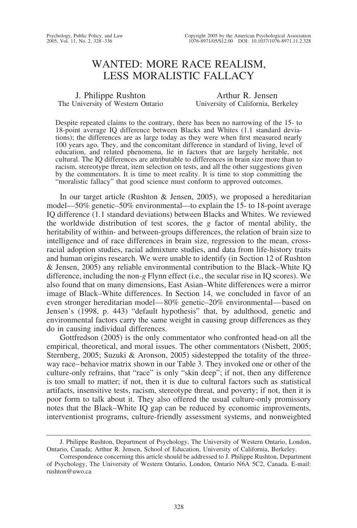# WANTED: MORE RACE REALISM, LESS MORALISTIC FALLACY

J. Philippe Rushton The University of Western Ontario

Arthur R. Jensen University of California, Berkeley

Despite repeated claims to the contrary, there has been no narrowing of the 15- to 18-point average IQ difference between Blacks and Whites (1.1 standard deviations); the differences are as large today as they were when first measured nearly 100 years ago. They, and the concomitant difference in standard of living, level of education, and related phenomena, lie in factors that are largely heritable, not cultural. The IQ differences are attributable to differences in brain size more than to racism, stereotype threat, item selection on tests, and all the other suggestions given by the commentators. It is time to meet reality. It is time to stop committing the "moralistic fallacy" that good science must conform to approved outcomes.

In our target article (Rushton & Jensen, 2005), we proposed a hereditarian model—50% genetic–50% environmental—to explain the 15- to 18-point average IQ difference (1.1 standard deviations) between Blacks and Whites. We reviewed the worldwide distribution of test scores, the *g* factor of mental ability, the heritability of within- and between-groups differences, the relation of brain size to intelligence and of race differences in brain size, regression to the mean, crossracial adoption studies, racial admixture studies, and data from life-history traits and human origins research. We were unable to identify (in Section 12 of Rushton & Jensen, 2005) any reliable environmental contribution to the Black–White IQ difference, including the non-*g* Flynn effect (i.e., the secular rise in IQ scores). We also found that on many dimensions, East Asian–White differences were a mirror image of Black–White differences. In Section 14, we concluded in favor of an even stronger hereditarian model— 80% genetic–20% environmental— based on Jensen's (1998, p. 443) "default hypothesis" that, by adulthood, genetic and environmental factors carry the same weight in causing group differences as they do in causing individual differences.

Gottfredson (2005) is the only commentator who confronted head-on all the empirical, theoretical, and moral issues. The other commentators (Nisbett, 2005; Sternberg, 2005; Suzuki & Aronson, 2005) sidestepped the totality of the threeway race– behavior matrix shown in our Table 3. They invoked one or other of the culture-only refrains, that "race" is only "skin deep"; if not, then any difference is too small to matter; if not, then it is due to cultural factors such as statistical artifacts, insensitive tests, racism, stereotype threat, and poverty; if not, then it is poor form to talk about it. They also offered the usual culture-only promissory notes that the Black–White IQ gap can be reduced by economic improvements, interventionist programs, culture-friendly assessment systems, and nonweighted

J. Philippe Rushton, Department of Psychology, The University of Western Ontario, London, Ontario, Canada; Arthur R. Jensen, School of Education, University of California, Berkeley.

Correspondence concerning this article should be addressed to J. Philippe Rushton, Department of Psychology, The University of Western Ontario, London, Ontario N6A 5C2, Canada. E-mail: rushton@uwo.ca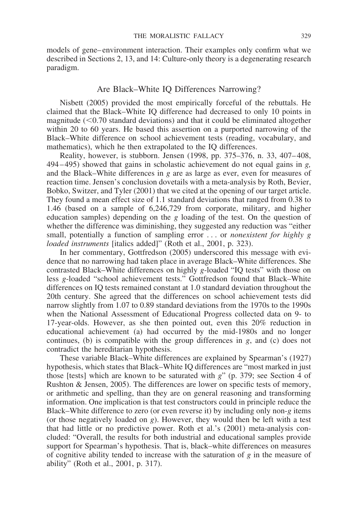models of gene– environment interaction. Their examples only confirm what we described in Sections 2, 13, and 14: Culture-only theory is a degenerating research paradigm.

### Are Black–White IQ Differences Narrowing?

Nisbett (2005) provided the most empirically forceful of the rebuttals. He claimed that the Black–White IQ difference had decreased to only 10 points in magnitude  $(< 0.70$  standard deviations) and that it could be eliminated altogether within 20 to 60 years. He based this assertion on a purported narrowing of the Black–White difference on school achievement tests (reading, vocabulary, and mathematics), which he then extrapolated to the IQ differences.

Reality, however, is stubborn. Jensen (1998, pp. 375–376, n. 33, 407– 408, 494 – 495) showed that gains in scholastic achievement do not equal gains in *g,* and the Black–White differences in *g* are as large as ever, even for measures of reaction time. Jensen's conclusion dovetails with a meta-analysis by Roth, Bevier, Bobko, Switzer, and Tyler (2001) that we cited at the opening of our target article. They found a mean effect size of 1.1 standard deviations that ranged from 0.38 to 1.46 (based on a sample of 6,246,729 from corporate, military, and higher education samples) depending on the *g* loading of the test. On the question of whether the difference was diminishing, they suggested any reduction was "either small, potentially a function of sampling error . . . or *nonexistent for highly g loaded instruments* [italics added]" (Roth et al., 2001, p. 323).

In her commentary, Gottfredson (2005) underscored this message with evidence that no narrowing had taken place in average Black–White differences. She contrasted Black–White differences on highly *g*-loaded "IQ tests" with those on less *g*-loaded "school achievement tests." Gottfredson found that Black–White differences on IQ tests remained constant at 1.0 standard deviation throughout the 20th century. She agreed that the differences on school achievement tests did narrow slightly from 1.07 to 0.89 standard deviations from the 1970s to the 1990s when the National Assessment of Educational Progress collected data on 9- to 17-year-olds. However, as she then pointed out, even this 20% reduction in educational achievement (a) had occurred by the mid-1980s and no longer continues, (b) is compatible with the group differences in *g*, and (c) does not contradict the hereditarian hypothesis.

These variable Black–White differences are explained by Spearman's (1927) hypothesis, which states that Black–White IQ differences are "most marked in just those [tests] which are known to be saturated with *g*" (p. 379; see Section 4 of Rushton & Jensen, 2005). The differences are lower on specific tests of memory, or arithmetic and spelling, than they are on general reasoning and transforming information. One implication is that test constructors could in principle reduce the Black–White difference to zero (or even reverse it) by including only non-*g* items (or those negatively loaded on *g*). However, they would then be left with a test that had little or no predictive power. Roth et al.'s (2001) meta-analysis concluded: "Overall, the results for both industrial and educational samples provide support for Spearman's hypothesis. That is, black–white differences on measures of cognitive ability tended to increase with the saturation of *g* in the measure of ability" (Roth et al., 2001, p. 317).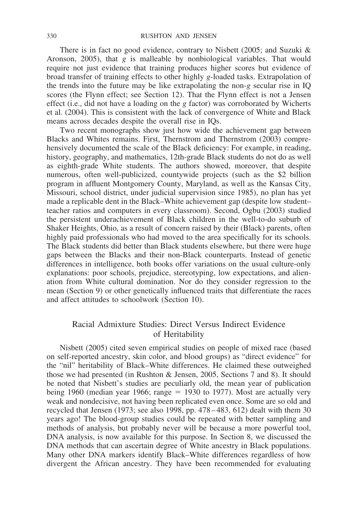There is in fact no good evidence, contrary to Nisbett (2005; and Suzuki & Aronson, 2005), that *g* is malleable by nonbiological variables. That would require not just evidence that training produces higher scores but evidence of broad transfer of training effects to other highly *g*-loaded tasks. Extrapolation of the trends into the future may be like extrapolating the non-*g* secular rise in IQ scores (the Flynn effect; see Section 12). That the Flynn effect is not a Jensen effect (i.e., did not have a loading on the *g* factor) was corroborated by Wicherts et al. (2004). This is consistent with the lack of convergence of White and Black means across decades despite the overall rise in IQs.

Two recent monographs show just how wide the achievement gap between Blacks and Whites remains. First, Thernstrom and Thernstrom (2003) comprehensively documented the scale of the Black deficiency: For example, in reading, history, geography, and mathematics, 12th-grade Black students do not do as well as eighth-grade White students. The authors showed, moreover, that despite numerous, often well-publicized, countywide projects (such as the \$2 billion program in affluent Montgomery County, Maryland, as well as the Kansas City, Missouri, school district, under judicial supervision since 1985), no plan has yet made a replicable dent in the Black–White achievement gap (despite low student– teacher ratios and computers in every classroom). Second, Ogbu (2003) studied the persistent underachievement of Black children in the well-to-do suburb of Shaker Heights, Ohio, as a result of concern raised by their (Black) parents, often highly paid professionals who had moved to the area specifically for its schools. The Black students did better than Black students elsewhere, but there were huge gaps between the Blacks and their non-Black counterparts. Instead of genetic differences in intelligence, both books offer variations on the usual culture-only explanations: poor schools, prejudice, stereotyping, low expectations, and alienation from White cultural domination. Nor do they consider regression to the mean (Section 9) or other genetically influenced traits that differentiate the races and affect attitudes to schoolwork (Section 10).

## Racial Admixture Studies: Direct Versus Indirect Evidence of Heritability

Nisbett (2005) cited seven empirical studies on people of mixed race (based on self-reported ancestry, skin color, and blood groups) as "direct evidence" for the "nil" heritability of Black–White differences. He claimed these outweighed those we had presented (in Rushton & Jensen, 2005, Sections 7 and 8). It should be noted that Nisbett's studies are peculiarly old, the mean year of publication being 1960 (median year 1966; range  $= 1930$  to 1977). Most are actually very weak and nondecisive, not having been replicated even once. Some are so old and recycled that Jensen (1973; see also 1998, pp. 478 – 483, 612) dealt with them 30 years ago! The blood-group studies could be repeated with better sampling and methods of analysis, but probably never will be because a more powerful tool, DNA analysis, is now available for this purpose. In Section 8, we discussed the DNA methods that can ascertain degree of White ancestry in Black populations. Many other DNA markers identify Black–White differences regardless of how divergent the African ancestry. They have been recommended for evaluating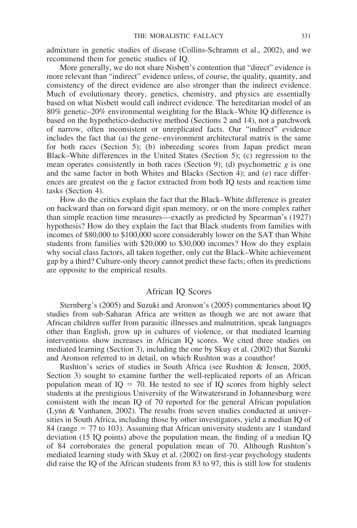admixture in genetic studies of disease (Collins-Schramm et al., 2002), and we recommend them for genetic studies of IQ.

More generally, we do not share Nisbett's contention that "direct" evidence is more relevant than "indirect" evidence unless, of course, the quality, quantity, and consistency of the direct evidence are also stronger than the indirect evidence. Much of evolutionary theory, genetics, chemistry, and physics are essentially based on what Nisbett would call indirect evidence. The hereditarian model of an 80% genetic–20% environmental weighting for the Black–White IQ difference is based on the hypothetico-deductive method (Sections 2 and 14), not a patchwork of narrow, often inconsistent or unreplicated facts. Our "indirect" evidence includes the fact that (a) the gene– environment architectural matrix is the same for both races (Section 5); (b) inbreeding scores from Japan predict mean Black–White differences in the United States (Section 5); (c) regression to the mean operates consistently in both races (Section 9); (d) psychometric *g* is one and the same factor in both Whites and Blacks (Section 4); and (e) race differences are greatest on the *g* factor extracted from both IQ tests and reaction time tasks (Section 4).

How do the critics explain the fact that the Black–White difference is greater on backward than on forward digit span memory, or on the more complex rather than simple reaction time measures— exactly as predicted by Spearman's (1927) hypothesis? How do they explain the fact that Black students from families with incomes of \$80,000 to \$100,000 score considerably lower on the SAT than White students from families with \$20,000 to \$30,000 incomes? How do they explain why social class factors, all taken together, only cut the Black–White achievement gap by a third? Culture-only theory cannot predict these facts; often its predictions are opposite to the empirical results.

## African IQ Scores

Sternberg's (2005) and Suzuki and Aronson's (2005) commentaries about IQ studies from sub-Saharan Africa are written as though we are not aware that African children suffer from parasitic illnesses and malnutrition, speak languages other than English, grow up in cultures of violence, or that mediated learning interventions show increases in African IQ scores. We cited three studies on mediated learning (Section 3), including the one by Skuy et al. (2002) that Suzuki and Aronson referred to in detail, on which Rushton was a coauthor!

Rushton's series of studies in South Africa (see Rushton & Jensen, 2005, Section 3) sought to examine further the well-replicated reports of an African population mean of  $IQ = 70$ . He tested to see if IQ scores from highly select students at the prestigious University of the Witwatersrand in Johannesburg were consistent with the mean IQ of 70 reported for the general African population (Lynn & Vanhanen, 2002). The results from seven studies conducted at universities in South Africa, including those by other investigators, yield a median IQ of  $84$  (range = 77 to 103). Assuming that African university students are 1 standard deviation (15 IQ points) above the population mean, the finding of a median IQ of 84 corroborates the general population mean of 70. Although Rushton's mediated learning study with Skuy et al. (2002) on first-year psychology students did raise the IQ of the African students from 83 to 97, this is still low for students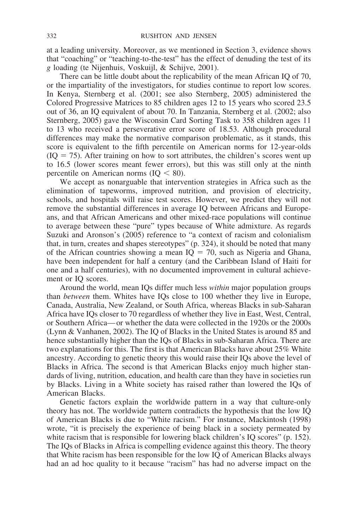at a leading university. Moreover, as we mentioned in Section 3, evidence shows that "coaching" or "teaching-to-the-test" has the effect of denuding the test of its *g* loading (te Nijenhuis, Voskuijl, & Schijve, 2001).

There can be little doubt about the replicability of the mean African IQ of 70, or the impartiality of the investigators, for studies continue to report low scores. In Kenya, Sternberg et al. (2001; see also Sternberg, 2005) administered the Colored Progressive Matrices to 85 children ages 12 to 15 years who scored 23.5 out of 36, an IQ equivalent of about 70. In Tanzania, Sternberg et al. (2002; also Sternberg, 2005) gave the Wisconsin Card Sorting Task to 358 children ages 11 to 13 who received a perseverative error score of 18.53. Although procedural differences may make the normative comparison problematic, as it stands, this score is equivalent to the fifth percentile on American norms for 12-year-olds  $(IQ = 75)$ . After training on how to sort attributes, the children's scores went up to 16.5 (lower scores meant fewer errors), but this was still only at the ninth percentile on American norms  $(IQ < 80)$ .

We accept as nonarguable that intervention strategies in Africa such as the elimination of tapeworms, improved nutrition, and provision of electricity, schools, and hospitals will raise test scores. However, we predict they will not remove the substantial differences in average IQ between Africans and Europeans, and that African Americans and other mixed-race populations will continue to average between these "pure" types because of White admixture. As regards Suzuki and Aronson's (2005) reference to "a context of racism and colonialism that, in turn, creates and shapes stereotypes" (p. 324), it should be noted that many of the African countries showing a mean  $IQ = 70$ , such as Nigeria and Ghana, have been independent for half a century (and the Caribbean Island of Haiti for one and a half centuries), with no documented improvement in cultural achievement or IQ scores.

Around the world, mean IQs differ much less *within* major population groups than *between* them. Whites have IQs close to 100 whether they live in Europe, Canada, Australia, New Zealand, or South Africa, whereas Blacks in sub-Saharan Africa have IQs closer to 70 regardless of whether they live in East, West, Central, or Southern Africa— or whether the data were collected in the 1920s or the 2000s (Lynn & Vanhanen, 2002). The IQ of Blacks in the United States is around 85 and hence substantially higher than the IQs of Blacks in sub-Saharan Africa. There are two explanations for this. The first is that American Blacks have about 25% White ancestry. According to genetic theory this would raise their IQs above the level of Blacks in Africa. The second is that American Blacks enjoy much higher standards of living, nutrition, education, and health care than they have in societies run by Blacks. Living in a White society has raised rather than lowered the IQs of American Blacks.

Genetic factors explain the worldwide pattern in a way that culture-only theory has not. The worldwide pattern contradicts the hypothesis that the low IQ of American Blacks is due to "White racism." For instance, Mackintosh (1998) wrote, "it is precisely the experience of being black in a society permeated by white racism that is responsible for lowering black children's IQ scores" (p. 152). The IQs of Blacks in Africa is compelling evidence against this theory. The theory that White racism has been responsible for the low IQ of American Blacks always had an ad hoc quality to it because "racism" has had no adverse impact on the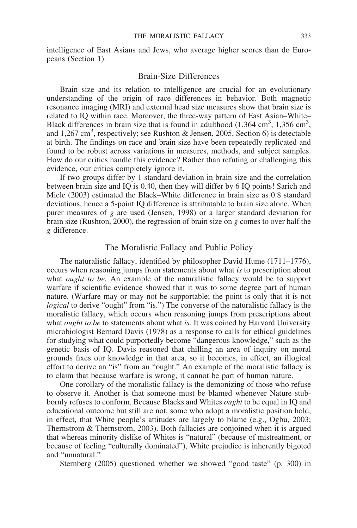intelligence of East Asians and Jews, who average higher scores than do Europeans (Section 1).

#### Brain-Size Differences

Brain size and its relation to intelligence are crucial for an evolutionary understanding of the origin of race differences in behavior. Both magnetic resonance imaging (MRI) and external head size measures show that brain size is related to IQ within race. Moreover, the three-way pattern of East Asian–White– Black differences in brain size that is found in adulthood  $(1,364 \text{ cm}^3, 1,356 \text{ cm}^3,$ and 1,267 cm<sup>3</sup>, respectively; see Rushton & Jensen, 2005, Section 6) is detectable at birth. The findings on race and brain size have been repeatedly replicated and found to be robust across variations in measures, methods, and subject samples. How do our critics handle this evidence? Rather than refuting or challenging this evidence, our critics completely ignore it.

If two groups differ by 1 standard deviation in brain size and the correlation between brain size and IQ is 0.40, then they will differ by 6 IQ points! Sarich and Miele (2003) estimated the Black–White difference in brain size as 0.8 standard deviations, hence a 5-point IQ difference is attributable to brain size alone. When purer measures of *g* are used (Jensen, 1998) or a larger standard deviation for brain size (Rushton, 2000), the regression of brain size on *g* comes to over half the *g* difference.

### The Moralistic Fallacy and Public Policy

The naturalistic fallacy, identified by philosopher David Hume (1711–1776), occurs when reasoning jumps from statements about what *is* to prescription about what *ought to be.* An example of the naturalistic fallacy would be to support warfare if scientific evidence showed that it was to some degree part of human nature. (Warfare may or may not be supportable; the point is only that it is not *logical* to derive "ought" from "is.") The converse of the naturalistic fallacy is the moralistic fallacy, which occurs when reasoning jumps from prescriptions about what *ought to be* to statements about what *is.* It was coined by Harvard University microbiologist Bernard Davis (1978) as a response to calls for ethical guidelines for studying what could purportedly become "dangerous knowledge," such as the genetic basis of IQ. Davis reasoned that chilling an area of inquiry on moral grounds fixes our knowledge in that area, so it becomes, in effect, an illogical effort to derive an "is" from an "ought." An example of the moralistic fallacy is to claim that because warfare is wrong, it cannot be part of human nature.

One corollary of the moralistic fallacy is the demonizing of those who refuse to observe it. Another is that someone must be blamed whenever Nature stubbornly refuses to conform. Because Blacks and Whites *ought* to be equal in IQ and educational outcome but still are not, some who adopt a moralistic position hold, in effect, that White people's attitudes are largely to blame (e.g., Ogbu, 2003; Thernstrom & Thernstrom, 2003). Both fallacies are conjoined when it is argued that whereas minority dislike of Whites is "natural" (because of mistreatment, or because of feeling "culturally dominated"), White prejudice is inherently bigoted and "unnatural."

Sternberg (2005) questioned whether we showed "good taste" (p. 300) in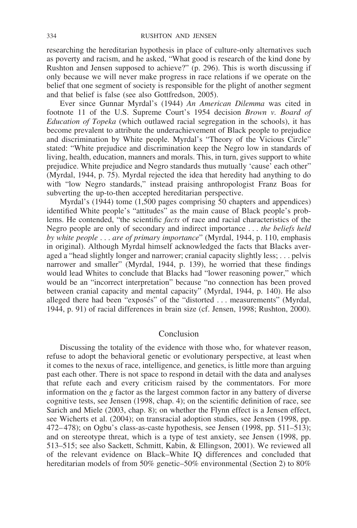researching the hereditarian hypothesis in place of culture-only alternatives such as poverty and racism, and he asked, "What good is research of the kind done by Rushton and Jensen supposed to achieve?" (p. 296). This is worth discussing if only because we will never make progress in race relations if we operate on the belief that one segment of society is responsible for the plight of another segment and that belief is false (see also Gottfredson, 2005).

Ever since Gunnar Myrdal's (1944) *An American Dilemma* was cited in footnote 11 of the U.S. Supreme Court's 1954 decision *Brown v. Board of Education of Topeka* (which outlawed racial segregation in the schools), it has become prevalent to attribute the underachievement of Black people to prejudice and discrimination by White people. Myrdal's "Theory of the Vicious Circle" stated: "White prejudice and discrimination keep the Negro low in standards of living, health, education, manners and morals. This, in turn, gives support to white prejudice. White prejudice and Negro standards thus mutually 'cause' each other" (Myrdal, 1944, p. 75). Myrdal rejected the idea that heredity had anything to do with "low Negro standards," instead praising anthropologist Franz Boas for subverting the up-to-then accepted hereditarian perspective.

Myrdal's (1944) tome (1,500 pages comprising 50 chapters and appendices) identified White people's "attitudes" as the main cause of Black people's problems. He contended, "the scientific *facts* of race and racial characteristics of the Negro people are only of secondary and indirect importance . . . *the beliefs held by white people* ... *are of primary importance*" (Myrdal, 1944, p. 110, emphasis in original). Although Myrdal himself acknowledged the facts that Blacks averaged a "head slightly longer and narrower; cranial capacity slightly less; . . . pelvis narrower and smaller" (Myrdal, 1944, p. 139), he worried that these findings would lead Whites to conclude that Blacks had "lower reasoning power," which would be an "incorrect interpretation" because "no connection has been proved between cranial capacity and mental capacity" (Myrdal, 1944, p. 140). He also alleged there had been "exposés" of the "distorted . . . measurements" (Myrdal, 1944, p. 91) of racial differences in brain size (cf. Jensen, 1998; Rushton, 2000).

### Conclusion

Discussing the totality of the evidence with those who, for whatever reason, refuse to adopt the behavioral genetic or evolutionary perspective, at least when it comes to the nexus of race, intelligence, and genetics, is little more than arguing past each other. There is not space to respond in detail with the data and analyses that refute each and every criticism raised by the commentators. For more information on the *g* factor as the largest common factor in any battery of diverse cognitive tests, see Jensen (1998, chap. 4); on the scientific definition of race, see Sarich and Miele (2003, chap. 8); on whether the Flynn effect is a Jensen effect, see Wicherts et al. (2004); on transracial adoption studies, see Jensen (1998, pp. 472–478); on Ogbu's class-as-caste hypothesis, see Jensen (1998, pp. 511–513); and on stereotype threat, which is a type of test anxiety, see Jensen (1998, pp. 513–515; see also Sackett, Schmitt, Kabin, & Ellingson, 2001). We reviewed all of the relevant evidence on Black–White IQ differences and concluded that hereditarian models of from 50% genetic–50% environmental (Section 2) to 80%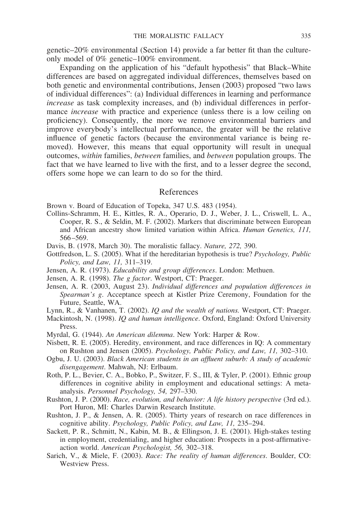genetic–20% environmental (Section 14) provide a far better fit than the cultureonly model of 0% genetic–100% environment.

Expanding on the application of his "default hypothesis" that Black–White differences are based on aggregated individual differences, themselves based on both genetic and environmental contributions, Jensen (2003) proposed "two laws of individual differences": (a) Individual differences in learning and performance *increase* as task complexity increases, and (b) individual differences in performance *increase* with practice and experience (unless there is a low ceiling on proficiency). Consequently, the more we remove environmental barriers and improve everybody's intellectual performance, the greater will be the relative influence of genetic factors (because the environmental variance is being removed). However, this means that equal opportunity will result in unequal outcomes, *within* families, *between* families, and *between* population groups. The fact that we have learned to live with the first, and to a lesser degree the second, offers some hope we can learn to do so for the third.

#### References

Brown v. Board of Education of Topeka, 347 U.S. 483 (1954).

- Collins-Schramm, H. E., Kittles, R. A., Operario, D. J., Weber, J. L., Criswell, L. A., Cooper, R. S., & Seldin, M. F. (2002). Markers that discriminate between European and African ancestry show limited variation within Africa. *Human Genetics, 111,* 566 –569.
- Davis, B. (1978, March 30). The moralistic fallacy. *Nature, 272,* 390.
- Gottfredson, L. S. (2005). What if the hereditarian hypothesis is true? *Psychology, Public Policy, and Law, 11,* 311–319.
- Jensen, A. R. (1973). *Educability and group differences*. London: Methuen.
- Jensen, A. R. (1998). *The g factor*. Westport, CT: Praeger.
- Jensen, A. R. (2003, August 23). *Individual differences and population differences in Spearman's g*. Acceptance speech at Kistler Prize Ceremony, Foundation for the Future, Seattle, WA.
- Lynn, R., & Vanhanen, T. (2002). *IQ and the wealth of nations.* Westport, CT: Praeger.
- Mackintosh, N. (1998). *IQ and human intelligence*. Oxford, England: Oxford University Press.
- Myrdal, G. (1944). *An American dilemma*. New York: Harper & Row.
- Nisbett, R. E. (2005). Heredity, environment, and race differences in IQ: A commentary on Rushton and Jensen (2005). *Psychology, Public Policy, and Law, 11,* 302–310.
- Ogbu, J. U. (2003). *Black American students in an affluent suburb: A study of academic disengagement*. Mahwah, NJ: Erlbaum.
- Roth, P. L., Bevier, C. A., Bobko, P., Switzer, F. S., III, & Tyler, P. (2001). Ethnic group differences in cognitive ability in employment and educational settings: A metaanalysis. *Personnel Psychology, 54,* 297–330.
- Rushton, J. P. (2000). *Race, evolution, and behavior: A life history perspective* (3rd ed.). Port Huron, MI: Charles Darwin Research Institute.
- Rushton, J. P., & Jensen, A. R. (2005). Thirty years of research on race differences in cognitive ability. *Psychology, Public Policy, and Law, 11,* 235–294.
- Sackett, P. R., Schmitt, N., Kabin, M. B., & Ellingson, J. E. (2001). High-stakes testing in employment, credentialing, and higher education: Prospects in a post-affirmativeaction world. *American Psychologist, 56,* 302–318.
- Sarich, V., & Miele, F. (2003). *Race: The reality of human differences*. Boulder, CO: Westview Press.